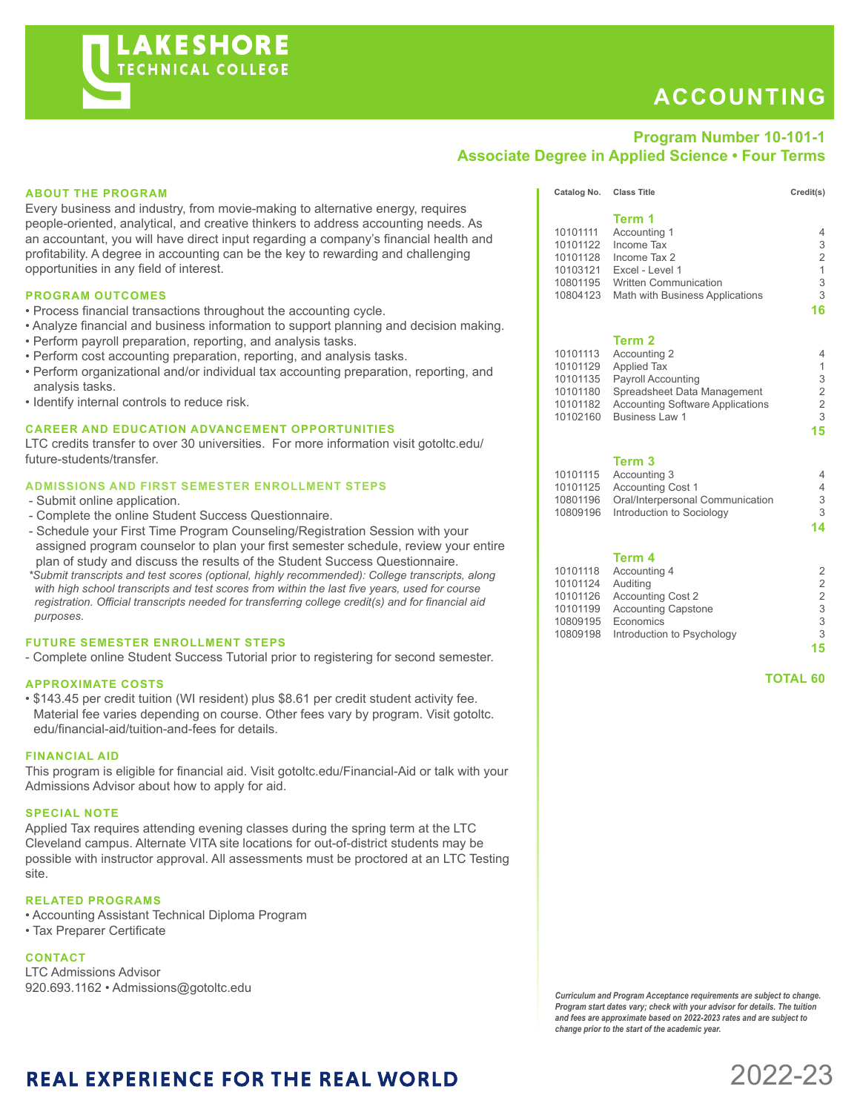# **ACCOUNTING**

### **Program Number 10-101-1 Associate Degree in Applied Science • Four Terms**

#### **ABOUT THE PROGRAM**

Every business and industry, from movie-making to alternative energy, requires people-oriented, analytical, and creative thinkers to address accounting needs. As an accountant, you will have direct input regarding a company's financial health and profitability. A degree in accounting can be the key to rewarding and challenging opportunities in any field of interest.

#### **PROGRAM OUTCOMES**

- Process financial transactions throughout the accounting cycle.
- Analyze financial and business information to support planning and decision making.
- Perform payroll preparation, reporting, and analysis tasks.
- Perform cost accounting preparation, reporting, and analysis tasks.
- Perform organizational and/or individual tax accounting preparation, reporting, and analysis tasks.
- Identify internal controls to reduce risk.

#### **CAREER AND EDUCATION ADVANCEMENT OPPORTUNITIES**

LTC credits transfer to over 30 universities. For more information visit gotoltc.edu/ future-students/transfer.

#### **ADMISSIONS AND FIRST SEMESTER ENROLLMENT STEPS**

- Submit online application.
- Complete the online Student Success Questionnaire.
- Schedule your First Time Program Counseling/Registration Session with your assigned program counselor to plan your first semester schedule, review your entire plan of study and discuss the results of the Student Success Questionnaire.

 *\*Submit transcripts and test scores (optional, highly recommended): College transcripts, along with high school transcripts and test scores from within the last five years, used for course registration. Official transcripts needed for transferring college credit(s) and for financial aid purposes.*

#### **FUTURE SEMESTER ENROLLMENT STEPS**

- Complete online Student Success Tutorial prior to registering for second semester.

#### **APPROXIMATE COSTS**

• \$143.45 per credit tuition (WI resident) plus \$8.61 per credit student activity fee. Material fee varies depending on course. Other fees vary by program. Visit gotoltc. edu/financial-aid/tuition-and-fees for details.

#### **FINANCIAL AID**

This program is eligible for financial aid. Visit gotoltc.edu/Financial-Aid or talk with your Admissions Advisor about how to apply for aid.

#### **SPECIAL NOTE**

Applied Tax requires attending evening classes during the spring term at the LTC Cleveland campus. Alternate VITA site locations for out-of-district students may be possible with instructor approval. All assessments must be proctored at an LTC Testing site.

#### **RELATED PROGRAMS**

- Accounting Assistant Technical Diploma Program
- Tax Preparer Certificate

#### **CONTACT**

LTC Admissions Advisor<br>920.693.1162 • Admissions@gotoltc.edu

|          | Term 1                                  |                |
|----------|-----------------------------------------|----------------|
| 10101111 | Accounting 1                            | 4              |
| 10101122 | Income Tax                              | 3              |
| 10101128 | Income Tax 2                            | $\overline{2}$ |
| 10103121 | Excel - Level 1                         | $\mathbf{1}$   |
| 10801195 | <b>Written Communication</b>            | 3              |
| 10804123 | Math with Business Applications         | 3              |
|          |                                         | 16             |
|          |                                         |                |
|          | Term 2                                  |                |
| 10101113 | Accounting 2                            |                |
| 10101129 | <b>Applied Tax</b>                      | 1              |
| 10101135 | <b>Payroll Accounting</b>               | 3              |
| 10101180 | Spreadsheet Data Management             | 2              |
| 10101182 | <b>Accounting Software Applications</b> | 2              |
| 10102160 | Business Law 1                          | 3              |
|          |                                         | 15             |
|          |                                         |                |

Catalog No. Class Title Credit(s)

#### **Term 3**

|          | 10101115 Accounting 3              |   |
|----------|------------------------------------|---|
| 10101125 | <b>Accounting Cost 1</b>           | 4 |
| 10801196 | Oral/Interpersonal Communication   | 3 |
|          | 10809196 Introduction to Sociology | 3 |
|          |                                    |   |

**14**

#### **Term 4**

|          | 10101118 Accounting 4               | 2  |
|----------|-------------------------------------|----|
|          |                                     |    |
| 10101124 | Auditing                            | 2  |
| 10101126 | <b>Accounting Cost 2</b>            | 2  |
| 10101199 | <b>Accounting Capstone</b>          | 3  |
| 10809195 | Economics                           | 3  |
|          | 10809198 Introduction to Psychology | 3  |
|          |                                     | 15 |
|          |                                     |    |

 **TOTAL 60**

2022-23

920.693.1162 • Admissions@gotoltc.edu *Curriculum and Program Acceptance requirements are subject to change. Program start dates vary; check with your advisor for details. The tuition and fees are approximate based on 2022-2023 rates and are subject to change prior to the start of the academic year.* 

## **REAL EXPERIENCE FOR THE REAL WORLD**